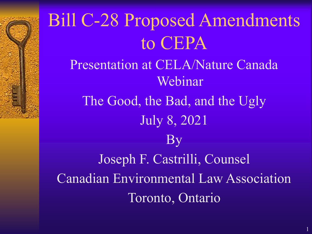### Bill C-28 Proposed Amendments to CEPA Presentation at CELA/Nature Canada Webinar The Good, the Bad, and the Ugly July 8, 2021 By Joseph F. Castrilli, Counsel Canadian Environmental Law Association Toronto, Ontario

1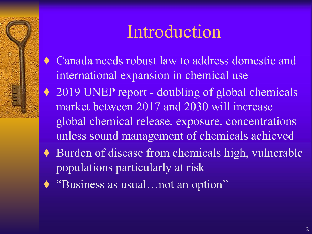### Introduction

- ♦ Canada needs robust law to address domestic and international expansion in chemical use
- ◆ 2019 UNEP report doubling of global chemicals market between 2017 and 2030 will increase global chemical release, exposure, concentrations unless sound management of chemicals achieved
- ♦ Burden of disease from chemicals high, vulnerable populations particularly at risk
- ♦ "Business as usual…not an option"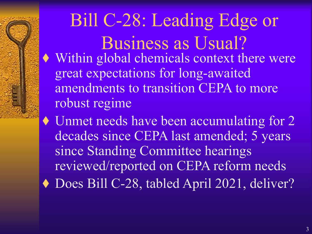#### Bill C-28: Leading Edge or Business as Usual? ♦ Within global chemicals context there were great expectations for long-awaited amendments to transition CEPA to more robust regime

♦ Unmet needs have been accumulating for 2 decades since CEPA last amended; 5 years since Standing Committee hearings reviewed/reported on CEPA reform needs ♦ Does Bill C-28, tabled April 2021, deliver?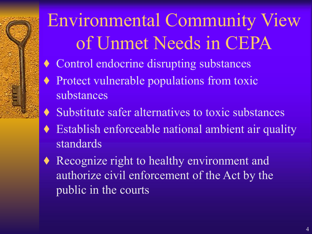# Environmental Community View of Unmet Needs in CEPA

- ♦ Control endocrine disrupting substances
- ♦ Protect vulnerable populations from toxic substances
- ♦ Substitute safer alternatives to toxic substances
- ♦ Establish enforceable national ambient air quality standards
- ♦ Recognize right to healthy environment and authorize civil enforcement of the Act by the public in the courts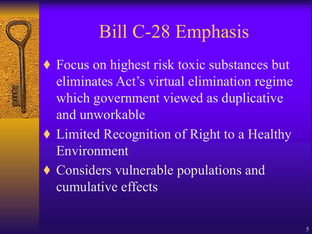## Bill C-28 Emphasis

- ♦ Focus on highest risk toxic substances but eliminates Act's virtual elimination regime which government viewed as duplicative and unworkable
- ♦ Limited Recognition of Right to a Healthy Environment
- ♦ Considers vulnerable populations and cumulative effects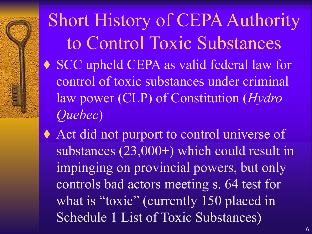Short History of CEPA Authority to Control Toxic Substances ♦ SCC upheld CEPA as valid federal law for control of toxic substances under criminal law power (CLP) of Constitution (*Hydro Quebec*)

♦ Act did not purport to control universe of substances (23,000+) which could result in impinging on provincial powers, but only controls bad actors meeting s. 64 test for what is "toxic" (currently 150 placed in Schedule 1 List of Toxic Substances)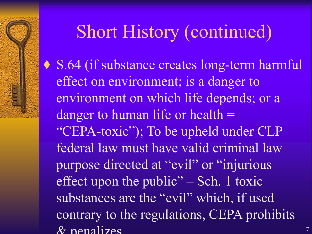#### Short History (continued)

♦ S.64 (if substance creates long-term harmful effect on environment; is a danger to environment on which life depends; or a danger to human life or health  $=$ "CEPA-toxic"); To be upheld under CLP federal law must have valid criminal law purpose directed at "evil" or "injurious effect upon the public" – Sch. 1 toxic substances are the "evil" which, if used contrary to the regulations, CEPA prohibits  $\&$  penalizes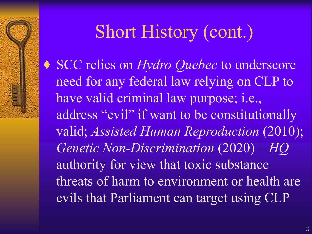## Short History (cont.)

♦ SCC relies on *Hydro Quebec* to underscore need for any federal law relying on CLP to have valid criminal law purpose; i.e., address "evil" if want to be constitutionally valid; *Assisted Human Reproduction* (2010); *Genetic Non-Discrimination* (2020) – *HQ*  authority for view that toxic substance threats of harm to environment or health are evils that Parliament can target using CLP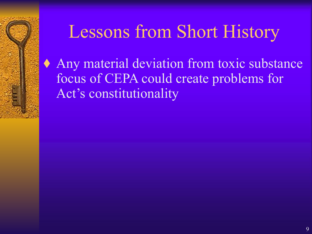### Lessons from Short History

♦ Any material deviation from toxic substance focus of CEPA could create problems for Act's constitutionality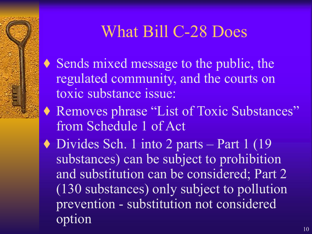#### What Bill C-28 Does

- ♦ Sends mixed message to the public, the regulated community, and the courts on toxic substance issue:
- ♦ Removes phrase "List of Toxic Substances" from Schedule 1 of Act
- $\blacklozenge$  Divides Sch. 1 into 2 parts Part 1 (19) substances) can be subject to prohibition and substitution can be considered; Part 2 (130 substances) only subject to pollution prevention - substitution not considered option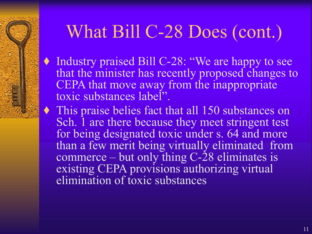### What Bill C-28 Does (cont.)

- ♦ Industry praised Bill C-28: "We are happy to see that the minister has recently proposed changes to CEPA that move away from the inappropriate toxic substances label".
- ♦ This praise belies fact that all 150 substances on Sch. I are there because they meet stringent test for being designated toxic under s. 64 and more than a few merit being virtually eliminated from commerce – but only thing C-28 eliminates is existing CEPA provisions authorizing virtual elimination of toxic substances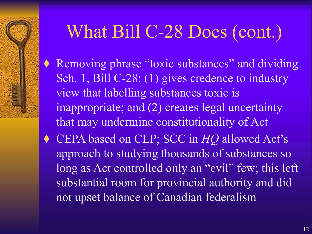### What Bill C-28 Does (cont.)

- Removing phrase "toxic substances" and dividing Sch. 1, Bill C-28: (1) gives credence to industry view that labelling substances toxic is inappropriate; and (2) creates legal uncertainty that may undermine constitutionality of Act
- ♦ CEPA based on CLP; SCC in *HQ* allowed Act's approach to studying thousands of substances so long as Act controlled only an "evil" few; this left substantial room for provincial authority and did not upset balance of Canadian federalism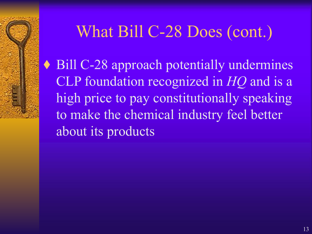#### What Bill C-28 Does (cont.)

♦ Bill C-28 approach potentially undermines CLP foundation recognized in *HQ* and is a high price to pay constitutionally speaking to make the chemical industry feel better about its products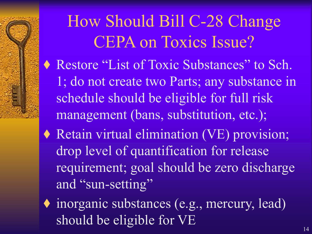How Should Bill C-28 Change CEPA on Toxics Issue? ♦ Restore "List of Toxic Substances" to Sch. 1; do not create two Parts; any substance in schedule should be eligible for full risk management (bans, substitution, etc.); ♦ Retain virtual elimination (VE) provision; drop level of quantification for release requirement; goal should be zero discharge and "sun-setting"

♦ inorganic substances (e.g., mercury, lead) should be eligible for VE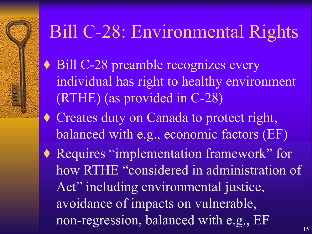### Bill C-28: Environmental Rights

◆ Bill C-28 preamble recognizes every individual has right to healthy environment (RTHE) (as provided in C-28)

♦ Creates duty on Canada to protect right, balanced with e.g., economic factors (EF)

♦ Requires "implementation framework" for how RTHE "considered in administration of Act" including environmental justice, avoidance of impacts on vulnerable, non-regression, balanced with e.g., EF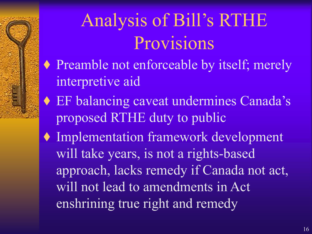## Analysis of Bill's RTHE Provisions

- ♦ Preamble not enforceable by itself; merely interpretive aid
- ♦ EF balancing caveat undermines Canada's proposed RTHE duty to public
- ♦ Implementation framework development will take years, is not a rights-based approach, lacks remedy if Canada not act, will not lead to amendments in Act enshrining true right and remedy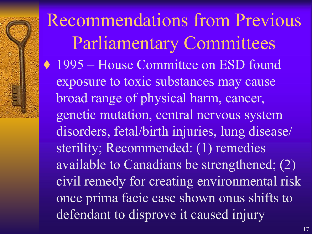Recommendations from Previous Parliamentary Committees ◆ 1995 – House Committee on ESD found exposure to toxic substances may cause broad range of physical harm, cancer, genetic mutation, central nervous system disorders, fetal/birth injuries, lung disease/ sterility; Recommended: (1) remedies available to Canadians be strengthened; (2) civil remedy for creating environmental risk once prima facie case shown onus shifts to defendant to disprove it caused injury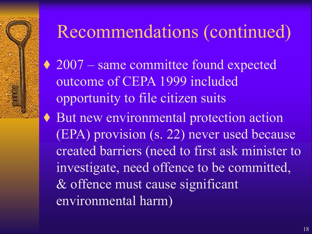### Recommendations (continued)

- ◆ 2007 same committee found expected outcome of CEPA 1999 included opportunity to file citizen suits
- ♦ But new environmental protection action (EPA) provision (s. 22) never used because created barriers (need to first ask minister to investigate, need offence to be committed, & offence must cause significant environmental harm)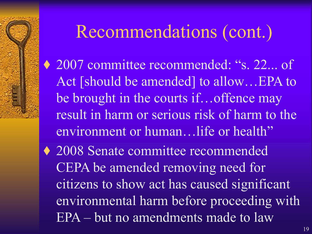### Recommendations (cont.)

- ◆ 2007 committee recommended: "s. 22... of Act [should be amended] to allow…EPA to be brought in the courts if…offence may result in harm or serious risk of harm to the environment or human…life or health"
- ♦ 2008 Senate committee recommended CEPA be amended removing need for citizens to show act has caused significant environmental harm before proceeding with EPA – but no amendments made to law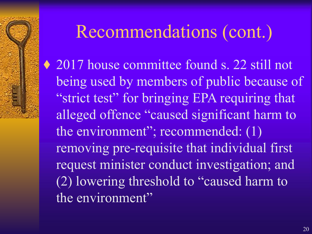### Recommendations (cont.)

◆ 2017 house committee found s. 22 still not being used by members of public because of "strict test" for bringing EPA requiring that alleged offence "caused significant harm to the environment"; recommended: (1) removing pre-requisite that individual first request minister conduct investigation; and (2) lowering threshold to "caused harm to the environment"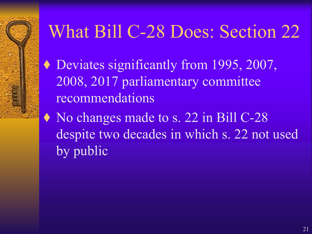### What Bill C-28 Does: Section 22

- ♦ Deviates significantly from 1995, 2007, 2008, 2017 parliamentary committee recommendations
- ♦ No changes made to s. 22 in Bill C-28 despite two decades in which s. 22 not used by public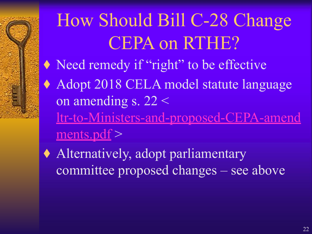## How Should Bill C-28 Change CEPA on RTHE?

- ♦ Need remedy if "right" to be effective
- ♦ Adopt 2018 CELA model statute language on amending s. 22 < [ltr-to-Ministers-and-proposed-CEPA-amend](https://cela.ca/wp-content/uploads/2020/11/Ltr-to-Ministers-and-proposed-CEPA-amendments.pdf)
	- $ments.pdf$
- ♦ Alternatively, adopt parliamentary committee proposed changes – see above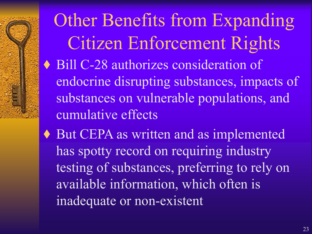Other Benefits from Expanding Citizen Enforcement Rights ♦ Bill C-28 authorizes consideration of endocrine disrupting substances, impacts of substances on vulnerable populations, and cumulative effects

♦ But CEPA as written and as implemented has spotty record on requiring industry testing of substances, preferring to rely on available information, which often is inadequate or non-existent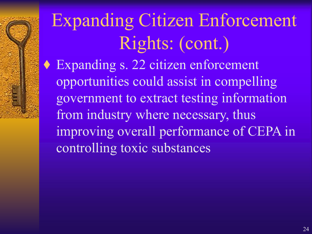## Expanding Citizen Enforcement Rights: (cont.)

♦ Expanding s. 22 citizen enforcement opportunities could assist in compelling government to extract testing information from industry where necessary, thus improving overall performance of CEPA in controlling toxic substances